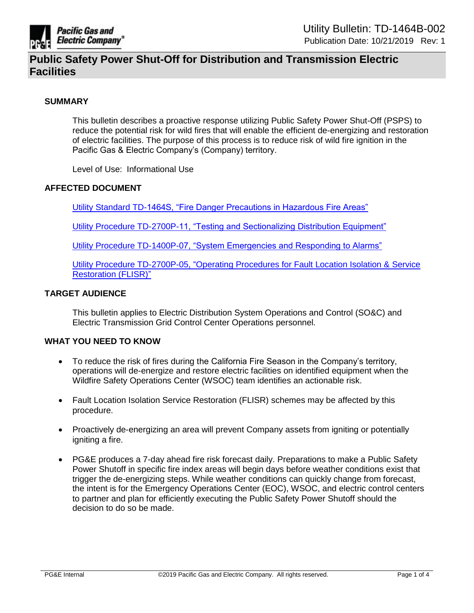

### **SUMMARY**

This bulletin describes a proactive response utilizing Public Safety Power Shut-Off (PSPS) to reduce the potential risk for wild fires that will enable the efficient de-energizing and restoration of electric facilities. The purpose of this process is to reduce risk of wild fire ignition in the Pacific Gas & Electric Company's (Company) territory.

Level of Use: Informational Use

### **AFFECTED DOCUMENT**

[Utility Standard TD-1464S, "Fire Danger Precautions in Hazardous Fire Areas"](https://ecmappwlsp01c2.comp.pge.com/TILVIEWER/d2Redirection/09131aad80e0659e/false)

[Utility Procedure TD-2700P-11, "Testing and Sectionalizing Distribution Equipment"](https://ecmappwlsp01c2.comp.pge.com/TILVIEWER/d2Redirection/09131aad80e025d7/false)

[Utility Procedure TD-1400P-07, "System Emergencies and Responding to Alarms"](https://ecmappwlsp01c2.comp.pge.com/TILVIEWER?chronicleId=09131aad86372a1c&vd=true&device=false)

[Utility Procedure TD-2700P-05, "Operating Procedures for Fault Location Isolation &](https://ecmappwlsp01c2.comp.pge.com/TILVIEWER?chronicleId=09131aad80e023ff&vd=true&device=false) Service [Restoration \(FLISR\)"](https://ecmappwlsp01c2.comp.pge.com/TILVIEWER?chronicleId=09131aad80e023ff&vd=true&device=false)

## **TARGET AUDIENCE**

This bulletin applies to Electric Distribution System Operations and Control (SO&C) and Electric Transmission Grid Control Center Operations personnel.

### **WHAT YOU NEED TO KNOW**

- To reduce the risk of fires during the California Fire Season in the Company's territory, operations will de-energize and restore electric facilities on identified equipment when the Wildfire Safety Operations Center (WSOC) team identifies an actionable risk.
- Fault Location Isolation Service Restoration (FLISR) schemes may be affected by this procedure.
- Proactively de-energizing an area will prevent Company assets from igniting or potentially igniting a fire.
- PG&E produces a 7-day ahead fire risk forecast daily. Preparations to make a Public Safety Power Shutoff in specific fire index areas will begin days before weather conditions exist that trigger the de-energizing steps. While weather conditions can quickly change from forecast, the intent is for the Emergency Operations Center (EOC), WSOC, and electric control centers to partner and plan for efficiently executing the Public Safety Power Shutoff should the decision to do so be made.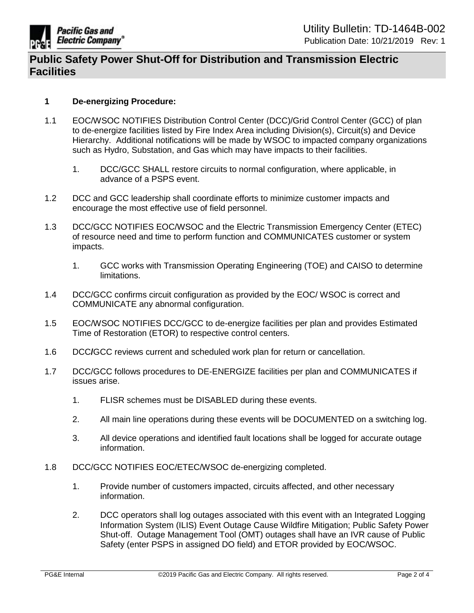

## **1 De-energizing Procedure:**

- 1.1 EOC/WSOC NOTIFIES Distribution Control Center (DCC)/Grid Control Center (GCC) of plan to de-energize facilities listed by Fire Index Area including Division(s), Circuit(s) and Device Hierarchy. Additional notifications will be made by WSOC to impacted company organizations such as Hydro, Substation, and Gas which may have impacts to their facilities.
	- 1. DCC/GCC SHALL restore circuits to normal configuration, where applicable, in advance of a PSPS event.
- 1.2 DCC and GCC leadership shall coordinate efforts to minimize customer impacts and encourage the most effective use of field personnel.
- 1.3 DCC/GCC NOTIFIES EOC/WSOC and the Electric Transmission Emergency Center (ETEC) of resource need and time to perform function and COMMUNICATES customer or system impacts.
	- 1. GCC works with Transmission Operating Engineering (TOE) and CAISO to determine limitations.
- 1.4 DCC/GCC confirms circuit configuration as provided by the EOC/ WSOC is correct and COMMUNICATE any abnormal configuration.
- 1.5 EOC/WSOC NOTIFIES DCC/GCC to de-energize facilities per plan and provides Estimated Time of Restoration (ETOR) to respective control centers.
- 1.6 DCC**/**GCC reviews current and scheduled work plan for return or cancellation.
- 1.7 DCC/GCC follows procedures to DE-ENERGIZE facilities per plan and COMMUNICATES if issues arise.
	- 1. FLISR schemes must be DISABLED during these events.
	- 2. All main line operations during these events will be DOCUMENTED on a switching log.
	- 3. All device operations and identified fault locations shall be logged for accurate outage information.
- 1.8 DCC/GCC NOTIFIES EOC/ETEC/WSOC de-energizing completed.
	- 1. Provide number of customers impacted, circuits affected, and other necessary information.
	- 2. DCC operators shall log outages associated with this event with an Integrated Logging Information System (ILIS) Event Outage Cause Wildfire Mitigation; Public Safety Power Shut-off. Outage Management Tool (OMT) outages shall have an IVR cause of Public Safety (enter PSPS in assigned DO field) and ETOR provided by EOC/WSOC.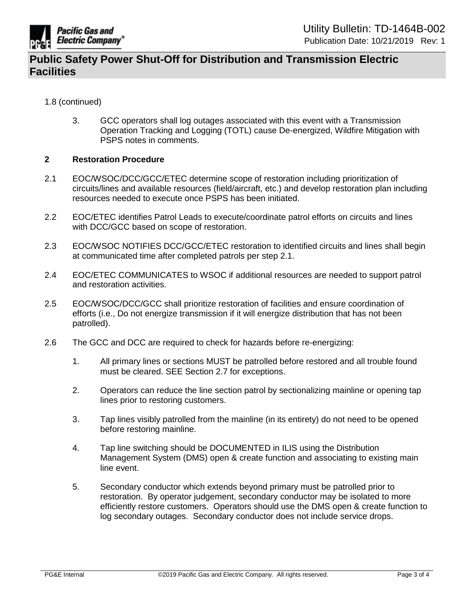

- 1.8 (continued)
	- 3. GCC operators shall log outages associated with this event with a Transmission Operation Tracking and Logging (TOTL) cause De-energized, Wildfire Mitigation with PSPS notes in comments.

### **2 Restoration Procedure**

- 2.1 EOC/WSOC/DCC/GCC/ETEC determine scope of restoration including prioritization of circuits/lines and available resources (field/aircraft, etc.) and develop restoration plan including resources needed to execute once PSPS has been initiated.
- 2.2 EOC/ETEC identifies Patrol Leads to execute/coordinate patrol efforts on circuits and lines with DCC/GCC based on scope of restoration.
- 2.3 EOC/WSOC NOTIFIES DCC/GCC/ETEC restoration to identified circuits and lines shall begin at communicated time after completed patrols per step 2.1.
- 2.4 EOC/ETEC COMMUNICATES to WSOC if additional resources are needed to support patrol and restoration activities.
- 2.5 EOC/WSOC/DCC/GCC shall prioritize restoration of facilities and ensure coordination of efforts (i.e., Do not energize transmission if it will energize distribution that has not been patrolled).
- 2.6 The GCC and DCC are required to check for hazards before re-energizing:
	- 1. All primary lines or sections MUST be patrolled before restored and all trouble found must be cleared. SEE Section 2.7 for exceptions.
	- 2. Operators can reduce the line section patrol by sectionalizing mainline or opening tap lines prior to restoring customers.
	- 3. Tap lines visibly patrolled from the mainline (in its entirety) do not need to be opened before restoring mainline.
	- 4. Tap line switching should be DOCUMENTED in ILIS using the Distribution Management System (DMS) open & create function and associating to existing main line event.
	- 5. Secondary conductor which extends beyond primary must be patrolled prior to restoration. By operator judgement, secondary conductor may be isolated to more efficiently restore customers. Operators should use the DMS open & create function to log secondary outages. Secondary conductor does not include service drops.